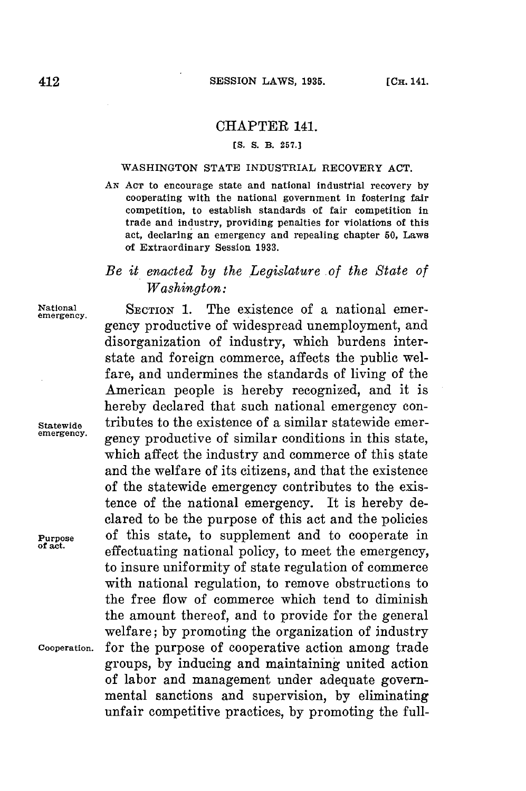## CHAPTER 141.

## **[S. S. B. 257.]**

## WASHINGTON **STATE** INDUSTRIAL RECOVERY **ACT.**

*AN* **AcT** to encourage state and national industrial recovery **by** cooperating with the national government in fostering fair competition, to establish standards of fair competition in trade and industry, providing penalties for violations of this act, declaring an emergency and repealing chapter **50,** Laws of Extraordinary Session **1933.**

## *Be it enacted by the Legislature of the State of Washington:*

gency productive of widespread unemployment, and disorganization of industry, which burdens interstate and foreign commerce, affects the public welfare, and undermines the standards of living of the American people is hereby recognized, and it is hereby declared that such national emergency con-

National **SECTION 1.** The existence of a national emeremergency.

Statewide tributes to the existence of a similar statewide emer-

gency productive of similar conditions in this state, which affect the industry and commerce of this state and the welfare of its citizens, and that the existence of the statewide emergency contributes to the existence of the national emergency. It is hereby declared to be the purpose of this act and the policies **Purpose** of this state, to supplement and to cooperate in of act. effectuating national policy, to meet the emergency, to insure uniformity of state regulation of commerce with national regulation, to remove obstructions to the free flow of commerce which tend to diminish the amount thereof, and to provide for the general welfare; **by** promoting the organization of industry **Cooperation.** for the purpose of cooperative action among trade groups, **by** inducing and maintaining united action of labor and management under adequate governmental sanctions and supervision, **by** eliminating unfair competitive practices, **by** promoting the full-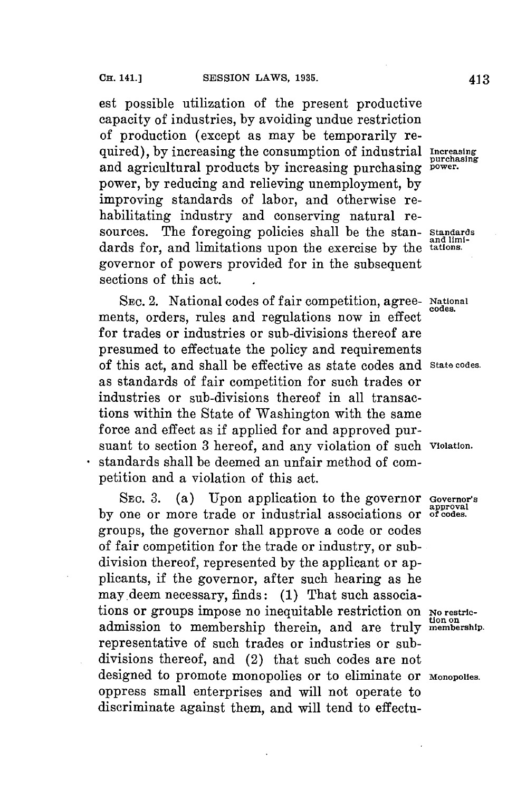est possible utilization of the present productive capacity of industries, **by** avoiding undue restriction of production (except as may be temporarily required), by increasing the consumption of industrial Increasing purchasing and agricultural products **by** increasing purchasing **power.** power, **by** reducing and relieving unemployment, **by** improving standards of labor, and otherwise rehabilitating industry and conserving natural resources. The foregoing policies shall be the stan- **Standards** dards for, and limitations upon the exercise by the tations. governor of powers provided for in the subsequent sections of this act.

**SEc.** 2. National codes of fair competition, agree- **National** ments, orders, rules and regulations now in effect for trades or industries or sub-divisions thereof are presumed to effectuate the policy and requirements of this act, and shall be effective as state codes and **State codes.** as standards of fair competition for such trades or industries or sub-divisions thereof in all transactions within the State of Washington with the same force and effect as if applied for and approved pursuant to section **3** hereof, and any violation of such **violation.** standards shall be deemed an unfair method of competition and a violation of this act.

**SEC. 3.** (a) Upon application to the governor **Governor's** by one or more trade or industrial associations or of codes. groups, the governor shall approve a code or codes of fair competition **for** the trade or industry, or subdivision thereof, represented **by** the applicant or applicants, if the governor, after such hearing as he may.deem necessary, finds: **(1)** That such associations or groups impose no inequitable restriction on **Norestric**admission to membership therein, and are truly membership. representative of such trades or industries or subdivisions thereof, and (2) that such codes are not designed to promote monopolies or to eliminate or **Monopolies.** oppress small enterprises and will not operate to discriminate against them, and will tend to effectu-

**codes.**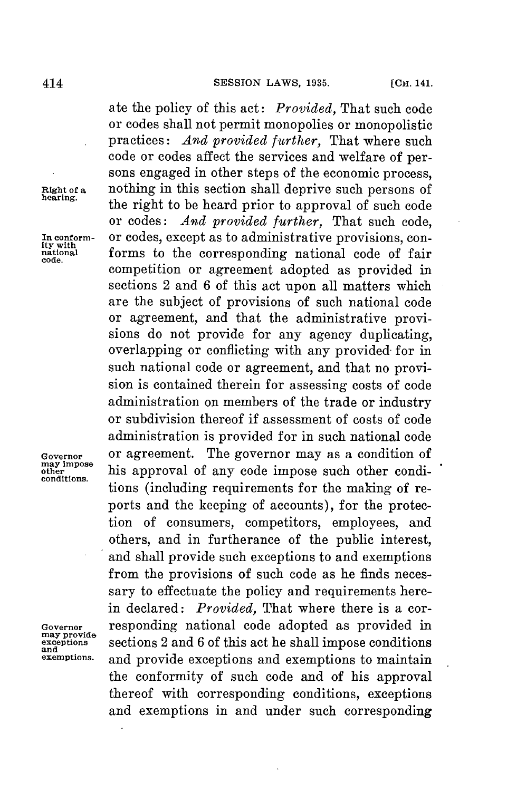ate the policy of this act: *Provided,* That such code or codes shall not permit monopolies or monopolistic practices: *And provided further,* That where such code or codes affect the services and welfare of persons engaged in other steps of the economic process, nothing in this section shall deprive such persons of **Right of a** nothing in this section shall deprive such persons of **hearing.** the right to be heard prior to approval of such code or codes: *And provided further,* That such code, In conform- or codes, except as to administrative provisions, con-<br> **In conformational** forms to the corresponding national code of fair **national** forms to the corresponding national code of fair **code.** competition or agreement adopted as provided in sections 2 and **6** of this act upon all matters which are the subject of provisions of such national code or agreement, and that the administrative provisions do not provide for any agency duplicating. overlapping or conflicting with any provided for in such national code or agreement, and that no provision is contained therein for assessing costs of code administration on members of the trade or industry or subdivision thereof if assessment of costs of code administration is provided for in such national code Governor or agreement. The governor may as a condition of may impose **may** impose **other** his approval of any code impose such other condi- **conditions.** tions (including requirements for the making of reports and the keeping of accounts), for the protection of consumers, competitors, employees, and others, and in furtherance of the public interest, and shall provide such exceptions to and exemptions from the provisions of such code as he finds necessary to effectuate the policy and requirements herein declared: *Provided,* That where there is a cor-Governor responding national code adopted as provided in may provide may provide<br>exceptions sections 2 and 6 of this act he shall impose conditions<br>exemptions. and provide exceptions and exemptions to maintain **exemptions.** and provide exceptions and exemptions to maintain the conformity of such code and of his approval thereof with corresponding conditions, exceptions and exemptions in and under such corresponding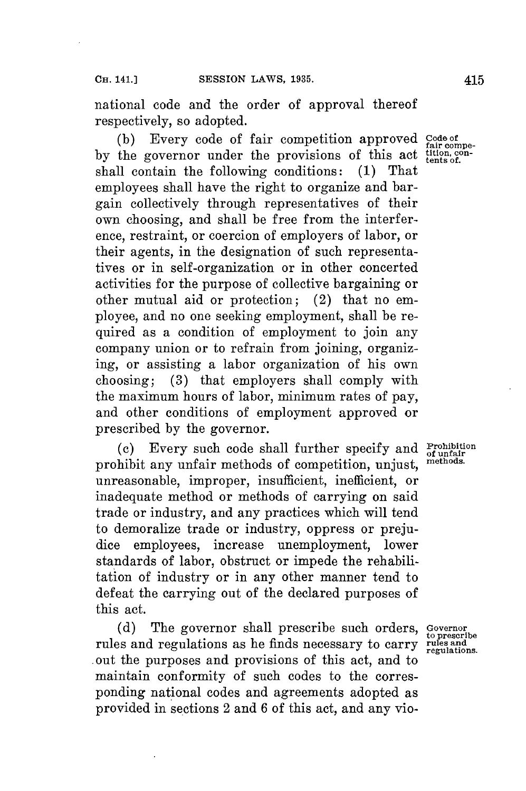national code and the order of approval thereof respectively, so adopted.

(b) Every code of fair competition approved **Code of**  $\frac{1}{\text{fair compe}}$ . by the governor under the provisions of this act tition, conshall contain the following conditions: **(1)** That employees shall have the right to organize and bargain collectively through representatives of their own choosing, and shall be free from the interference, restraint, or coercion of employers of labor, or their agents, in the designation of such representatives or in self-organization or in other concerted activities for the purpose of collective bargaining or other mutual aid or protection; (2) that no employee, and no one seeking employment, shall be required as a condition of employment to join any company union or to refrain from joining, organizing, or assisting a labor organization of his own choosing; **(3)** that employers shall comply with the maximum hours of labor, minimum rates of pay, and other conditions of employment approved or prescribed **by** the governor.

**(c)** Every such code shall further specify and **Prohibition** prohibit any unfair methods of competition, unjust, unreasonable, improper, insufficient, inefficient, or inadequate method or methods of carrying on said trade or industry, and any practices which will tend to demoralize trade or industry, oppress or prejudice employees, increase unemployment, lower standards of labor, obstruct or impede the rehabilitation of industry or in any other manner tend to defeat the carrying out of the declared purposes of this act.

**(d)** The governor shall prescribe such orders, **Governor** rules and regulations as he finds necessary to carry **rules and** out the purposes and provisions of this act, and to maintain conformity of such codes to the corresponding national codes and agreements adopted as provided in sections 2 and **6** of this act, and any vio-

**to prescribe**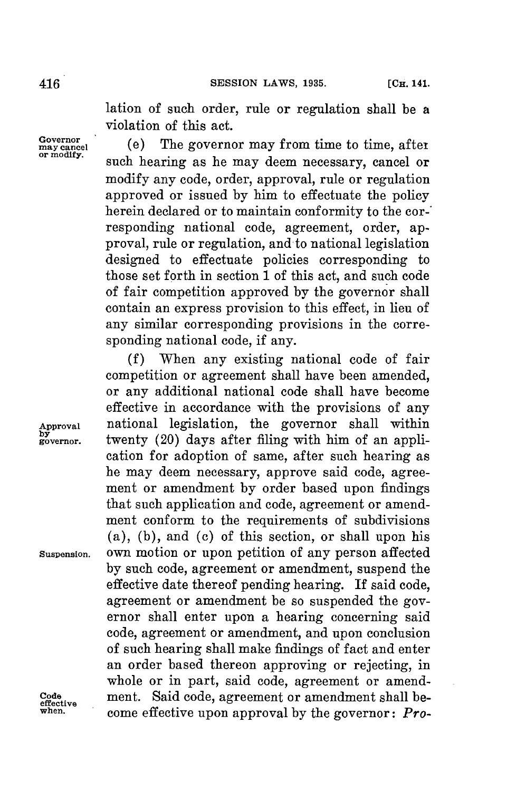lation of such order, rule or regulation shall be a violation of this act.

Governor<br>
or may cancel (e) The governor may from time to time, after<br>
<u>or modity</u>. such hearing as he may deem necessary, cancel or modify any code, order, approval, rule or regulation approved or issued **by** him to effectuate the policy herein declared or to maintain conformity to the corresponding national code, agreement, order, approval, rule or regulation, and to national legislation designed to effectuate policies corresponding to those set forth in section **1** of this act, and such code of fair competition approved **by** the governor shall contain an express provision to this effect, in lieu of any similar corresponding provisions in the corresponding national code, if any.

**(f)** When any existing national code of fair competition or agreement shall have been amended, or any additional national code shall have become effective in accordance with the provisions of any national legislation, the governor shall within twenty (20) days after filing with him of an application for adoption of same, after such hearing as he may deem necessary, approve said code, agreement or amendment **by** order based upon findings that such application and code, agreement or amendment conform to the requirements of subdivisions (a), **(b),** and **(c)** of this section, or shall upon his **Suspension.** own motion or upon petition of any person affected **by** such code, agreement or amendment, suspend the effective date thereof pending hearing. **If** said code, agreement or amendment be so suspended the governor shall enter upon a hearing concerning said code, agreement or amendment, and upon conclusion of such hearing shall make findings of fact and enter an order based thereon approving or rejecting, in whole or in part, said code, agreement or amend-**Code** ment. Said code, agreement or amendment shall be- **effective when.** come effective upon approval **by** the governor: *Pro-*

Approval<br>by<br>governor.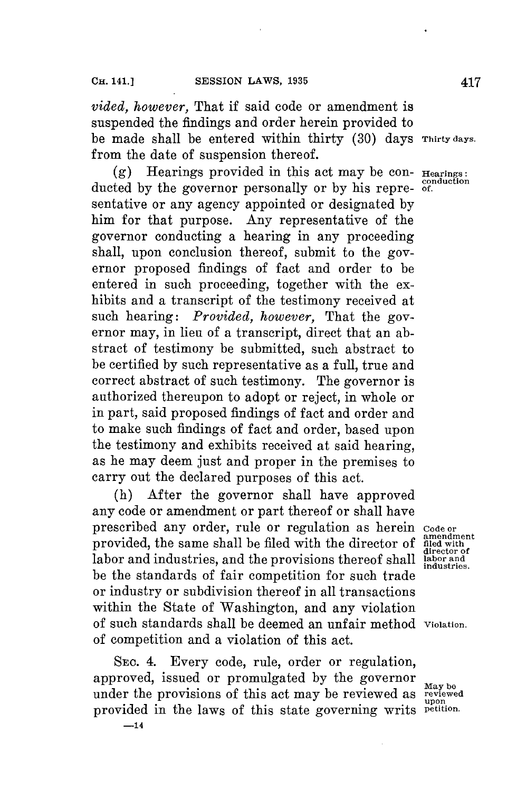*vided, however,* That if said code or amendment is suspended the findings and order herein provided to be made shall be entered within thirty **(30)** days **Thirty days.** from the date of suspension thereof.

**(g)** Hearings provided in this act may be con- **Hearings: conduction** ducted **by** the governor personally or **by** his repre- **of.** sentative or any agency appointed or designated **by** him for that purpose. Any representative of the governor conducting a hearing in any proceeding shall, upon conclusion thereof, submit to the governor proposed findings of fact and order to be entered in such proceeding, together with the exhibits and a transcript of the testimony received at such hearing: *Provided, however,* That the governor may, in lieu of a transcript, direct that an abstract of testimony be submitted, such abstract to be certified **by** such representative as a full, true and correct abstract of such testimony. The governor is authorized thereupon to adopt or reject, in whole or in part, said proposed findings of fact and order and to make such findings of fact and order, based upon the testimony and exhibits received at said hearing, as he may deem just and proper in the premises to carry out the declared purposes of this act.

(h) After the governor shall have approved any code or amendment or part thereof or shall have prescribed any order, rule or regulation as herein provided, the same shall be filed with the director of labor and industries, and the provisions thereof shall **labor and** be the standards of fair competition for such trade or industry or subdivision thereof in all transactions within the State of Washington, and any violation of such standards shall be deemed an unfair method **Violation.** of competition and a violation of this act.

**SEc.** 4. Every code, rule, order or regulation, approved, issued or promulgated by the governor  $\mathbf{M}_{\text{day be}}$ under the provisions of this act may be reviewed as **reviewed** provided in the laws of this state governing writs **petition. -14**

Code or<br>amendment<br>filed with<br>director of<br>labor and **industries.**

**upon**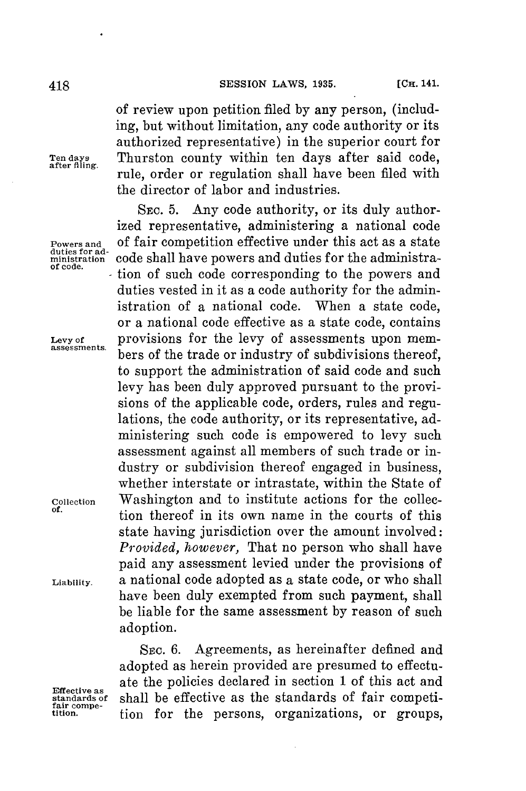of review upon petition filed **by** any person, (including, but without limitation, any code authority or its authorized representative) in the superior court for Ten days Thurston county within ten days after said code, rule, order or regulation shall have been filed with the director of labor and industries.

**SEc. 5.** Any code authority, or its duly authorized representative, administering a national code of fair competition effective under this act as a state **ministration** code shall have powers and duties **for** the administration of such code corresponding to the powers and duties vested in it as a code authority for the administration of a national code. When a state code, or a national code effective as a state code, contains Levy of provisions for the levy of assessments upon members of the trade or industry of subdivisions thereof, to support the administration of said code and such levy has been duly approved pursuant to the provisions of the applicable code, orders, rules and regulations, the code authority, or its representative, administering such code is empowered to levy such assessment against all members of such trade or industry or subdivision thereof engaged in business, whether interstate or intrastate, within the State of **Collection** Washington and to institute actions for the collec**of.** tion thereof in its own name in the courts of this state having jurisdiction over the amount involved: *Provided, however,* That no person who shall have paid any assessment levied under the provisions of **Liability.** a national code adopted as a state code, or who shall have been duly exempted from such payment, shall be liable for the same assessment **by** reason of such adoption.

SEc. **6.** Agreements, as hereinafter defined and adopted as herein provided are presumed to effectuate the policies declared in section **1** of this act and Effective as also standards of shall be effective as the standards of fair competi-<br> **fair compe-**<br> **tion** for the persons, organizations, or groups,

Powers and<br>duties for ad-<br>ministration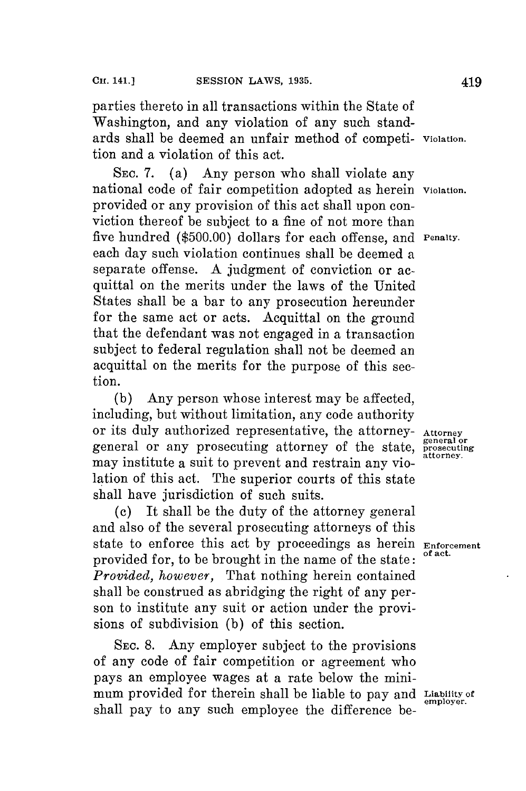parties thereto in all transactions within the State of Washington, and any violation of any such standards shall be deemed an unfair method of competi- **Violation.** tion and a violation of this act.

SEc. **7.** (a) Any person who shall violate any national code of fair competition adopted as herein **violation.** provided or any provision of this act shall upon conviction thereof be subject to a fine of not more than five hundred **(\$500.00)** dollars for each offense, and **Penalty.** each day such violation continues shall be deemed a separate offense. **A** judgment of conviction or acquittal on the merits under the laws of the United States shall be a bar to any prosecution hereunder for the same act or acts. Acquittal on the ground that the defendant was not engaged in a transaction subject to federal regulation shall not be deemed an acquittal on the merits for the purpose of this section.

**(b)** Any person whose interest may be affected, including, but without limitation, any code authority or its duly authorized representative, the attorney- **Attorney** general or any prosecuting attorney of the state, **prosecuting** may institute a suit to prevent and restrain any violation of this act. The superior courts of this state shall have jurisdiction of such suits.

**(c)** It shall be the duty of the attorney general and also of the several prosecuting attorneys of this state to enforce this act by proceedings as herein **Enforcement** provided for, to be brought in the name of the state: *Provided, however,* That nothing herein contained shall be construed as abridging the right of any person to institute any suit or action under the provisions of subdivision **(b)** of this section.

**SEc. 8.** Any employer subject to the provisions of any code of fair competition or agreement who pays an employee wages at a rate below the minimum provided **for** therein shall be liable to pay and **Liability of** shall pay to any such employee the difference be-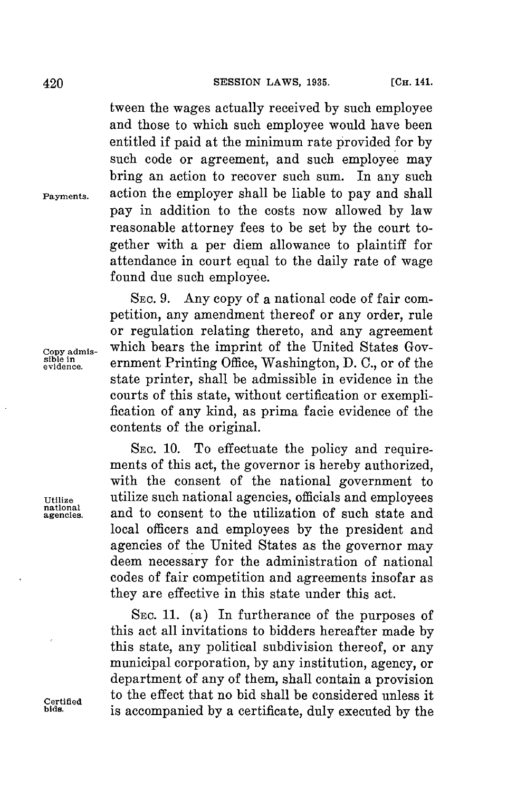tween the wages actually received **by** such employee and those to which such employee would have been entitled if paid at the minimum rate provided for **by** such code or agreement, and such employee may bring an action to recover such sum. In any such **Payments.** action the employer shall be liable to pay and shall pay in addition to the costs now allowed **by** law reasonable attorney fees to be set **by** the court together with a per diem allowance to plaintiff for attendance in court equal to the daily rate of wage found due such employee.

**SEC. 9.** Any copy of a national code of fair competition, any amendment thereof or any order, rule or regulation relating thereto, and any agreement Copy admis-<br>
sible in evidence. **Copy admis-**<br> **Copy admis-**<br> **Copy admis-**<br> **Copy admis-**<br> **Copy admis-**<br> **Copy admis-**<br> **Copy admis-**<br> **Copy admis-**<br> **Copy admis-**<br> **Copy admis-**<br> **Copy admis-**<br> **Copy admis-**<br> **Copy admi sible in** Pitn ahntn **evidence.** ernment Printing Office, Washington, **D. C.,** or of the state printer, shall be admissible in evidence in the courts of this state, without certification or exemplification of any kind, as prima facie evidence of the contents of the original.

**SEC. 10.** To effectuate the policy and requirements of this act, the governor is hereby authorized, with the consent of the national government to **Utilize** utilize such national agencies, officials and employees **national** and to consent to the utilization of such state and local officers and employees **by** the president and agencies of the United States as the governor may deem necessary for the administration of national codes of fair competition and agreements insofar as they are effective in this state under this act.

**SEC. 11.** (a) In furtherance of the purposes of this act all invitations to bidders hereafter made **by** this state, any political subdivision thereof, or any municipal corporation, **by** any institution, agency, or department of any of them, shall contain a provision **Certified** to the effect that no bid shall be considered unless it **bids.** is accompanied **by** a certificate, duly executed **by** the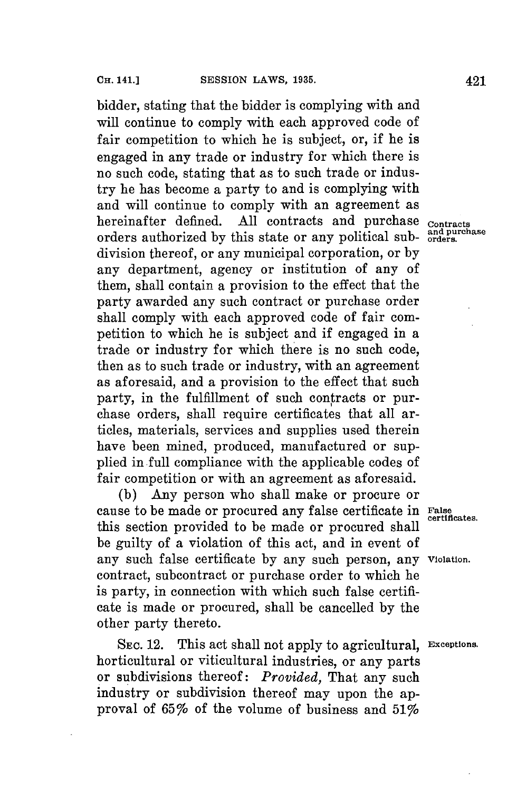bidder, stating that the bidder is complying with and will continue to comply with each approved code of fair competition to which he is subject, or, if he is engaged in any trade or industry for which there is no such code, stating that as to such trade or industry he has become a party to and is complying with and will continue to comply with an agreement as hereinafter defined. **All** contracts and purchase **contracts** orders authorized by this state or any political sub- and purchase division thereof, or any municipal corporation, or **by** any department, agency or institution of any of them, shall contain a provision to the effect that the party awarded any such contract or purchase order shall comply with each approved code of fair competition to which he is subject and if engaged in a trade or industry for which there is no such code, then as to such trade or industry, with an agreement as aforesaid, and a provision to the effect that such party, in the fulfillment of such contracts or purchase orders, shall require certificates that all articles, materials, services and supplies used therein have been mined, produced, manufactured or supplied in full compliance with the applicable codes of fair competition or with an agreement as aforesaid.

**(b) Any** person who shall make or procure or cause to be made or procured any false certificate in False certificates. this section provided to be made or procured shall be guilty of a violation of this act, and in event of any such false certificate **by** any such person, any **Violation.** contract, subcontract or purchase order to which he is party, in connection with which such false certificate is made or procured, shall be cancelled **by** the other party thereto.

**SEC.** 12. This act shall not apply to agricultural, **Exceptions.** horticultural or viticultural industries, or any parts or subdivisions thereof: *Provided,* That any such industry or subdivision thereof may upon the approval of 65% of the volume of business and  $51\%$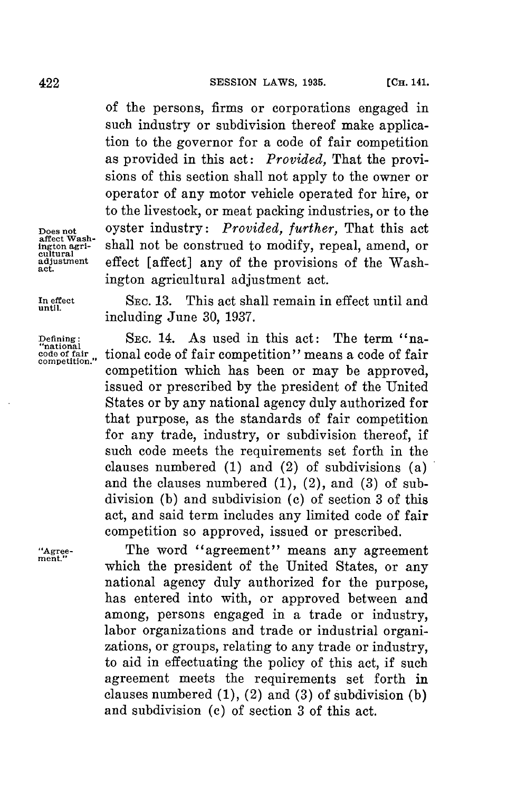**of** the persons, firms or corporations engaged in such industry or subdivision thereof make application to the governor for a code of fair competition as provided in this act: *Provided,* That the provisions of this section shall not apply to the owner or operator of any motor vehicle operated for hire, or to the livestock, or meat packing industries, or to the **Does not** oyster industry: *Provided, further,* That this act shall not be construed to modify, repeal, amend, or **adjustment** effect [affect] any of the provisions of the Wash- **act.** ington agricultural adjustment act.

**affect Wash-**

**ington** agricultural

**In effect SEc. 13.** This act shall remain in effect until and **until.** including June **30, 1937.**

**Defining: SEC.** 14. As used in this act: The term "na- **"national code of fair** tional code of fair competition" means a code of fair **competition."** competition which has been or may be approved, issued or prescribed **by** the president of the United States or **by** any national agency duly authorized **for** that purpose, as the standards of fair competition for any trade, industry, or subdivision thereof, if such code meets the requirements set forth in the clauses numbered **(1)** and (2) of subdivisions (a) and the clauses numbered **(1),** (2), and **(3)** of subdivision **(b)** and subdivision **(c)** of section **3** of this act, and said term includes any limited code of fair competition so approved, issued or prescribed.

**"Agree-** The word "agreement" means any agreement **ment"** which the president of the United States, or any national agency duly authorized for the purpose, has entered into with, or approved between and among, persons engaged in a trade or industry, labor organizations and trade or industrial organizations, or groups, relating to any trade or industry, to aid in effectuating the policy of this act, if such agreement meets the requirements set forth in clauses numbered **(1),** (2) and **(3)** of subdivision **(b)** and subdivision (c) of section **3** of this act.